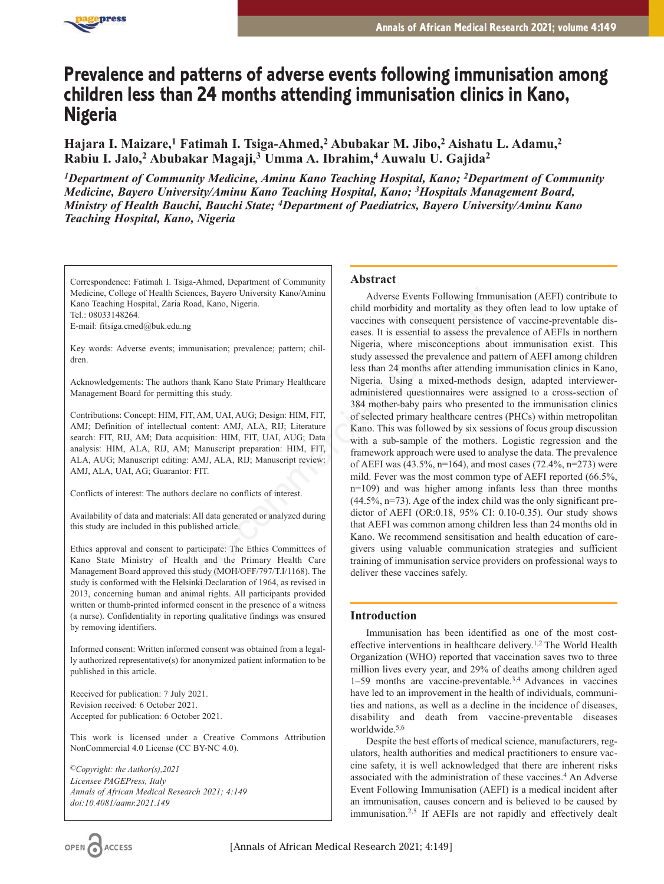

# **Prevalence and patterns of adverse events following immunisation among children less than 24 months attending immunisation clinics in Kano, Nigeria**

**Hajara I. Maizare,1 Fatimah I. Tsiga-Ahmed,2 Abubakar M. Jibo,2 Aishatu L. Adamu,2 Rabiu I. Jalo,2 Abubakar Magaji,3 Umma A. Ibrahim,4 Auwalu U. Gajida2**

*1Department of Community Medicine, Aminu Kano Teaching Hospital, Kano; 2Department of Community Medicine, Bayero University/Aminu Kano Teaching Hospital, Kano; 3Hospitals Management Board, Ministry of Health Bauchi, Bauchi State; 4Department of Paediatrics, Bayero University/Aminu Kano Teaching Hospital, Kano, Nigeria*

Correspondence: Fatimah I. Tsiga-Ahmed, Department of Community Medicine, College of Health Sciences, Bayero University Kano/Aminu Kano Teaching Hospital, Zaria Road, Kano, Nigeria. Tel.: 08033148264.

E-mail: fitsiga.cmed@buk.edu.ng

Key words: Adverse events; immunisation; prevalence; pattern; children.

Acknowledgements: The authors thank Kano State Primary Healthcare Management Board for permitting this study.

Contributions: Concept: HIM, FIT, AM, UAI, AUG; Design: HIM, FIT, AMJ; Definition of intellectual content: AMJ, ALA, RIJ; Literature search: FIT, RIJ, AM; Data acquisition: HIM, FIT, UAI, AUG; Data analysis: HIM, ALA, RIJ, AM; Manuscript preparation: HIM, FIT, ALA, AUG; Manuscript editing: AMJ, ALA, RIJ; Manuscript review: AMJ, ALA, UAI, AG; Guarantor: FIT.

Conflicts of interest: The authors declare no conflicts of interest.

Availability of data and materials: All data generated or analyzed during this study are included in this published article.

Ethics approval and consent to participate: The Ethics Committees of Kano State Ministry of Health and the Primary Health Care Management Board approved this study (MOH/OFF/797/T.I/1168). The study is conformed with the Helsinki Declaration of 1964, as revised in 2013, concerning human and animal rights. All participants provided written or thumb-printed informed consent in the presence of a witness (a nurse). Confidentiality in reporting qualitative findings was ensured by removing identifiers.

Informed consent: Written informed consent was obtained from a legally authorized representative(s) for anonymized patient information to be published in this article.

Received for publication: 7 July 2021. Revision received: 6 October 2021. Accepted for publication: 6 October 2021.

This work is licensed under a Creative Commons Attribution NonCommercial 4.0 License (CC BY-NC 4.0).

*©Copyright: the Author(s),2021 Licensee PAGEPress, Italy Annals of African Medical Research 2021; 4:149 doi:10.4081/aamr.2021*.*149*

# **Abstract**

Adverse Events Following Immunisation (AEFI) contribute to child morbidity and mortality as they often lead to low uptake of vaccines with consequent persistence of vaccine-preventable diseases. It is essential to assess the prevalence of AEFIs in northern Nigeria, where misconceptions about immunisation exist. This study assessed the prevalence and pattern of AEFI among children less than 24 months after attending immunisation clinics in Kano, Nigeria. Using a mixed-methods design, adapted intervieweradministered questionnaires were assigned to a cross-section of 384 mother-baby pairs who presented to the immunisation clinics of selected primary healthcare centres (PHCs) within metropolitan Kano. This was followed by six sessions of focus group discussion with a sub-sample of the mothers. Logistic regression and the framework approach were used to analyse the data. The prevalence of AEFI was (43.5%, n=164), and most cases (72.4%, n=273) were mild. Fever was the most common type of AEFI reported (66.5%, n=109) and was higher among infants less than three months  $(44.5\%, n=73)$ . Age of the index child was the only significant predictor of AEFI (OR:0.18, 95% CI: 0.10-0.35). Our study shows that AEFI was common among children less than 24 months old in Kano. We recommend sensitisation and health education of caregivers using valuable communication strategies and sufficient training of immunisation service providers on professional ways to deliver these vaccines safely. Non-commercial use only

# **Introduction**

Immunisation has been identified as one of the most costeffective interventions in healthcare delivery.1,2 The World Health Organization (WHO) reported that vaccination saves two to three million lives every year, and 29% of deaths among children aged 1–59 months are vaccine-preventable.3,4 Advances in vaccines have led to an improvement in the health of individuals, communities and nations, as well as a decline in the incidence of diseases, disability and death from vaccine-preventable diseases worldwide.5,6

Despite the best efforts of medical science, manufacturers, regulators, health authorities and medical practitioners to ensure vaccine safety, it is well acknowledged that there are inherent risks associated with the administration of these vaccines.<sup>4</sup> An Adverse Event Following Immunisation (AEFI) is a medical incident after an immunisation, causes concern and is believed to be caused by immunisation.2,5 If AEFIs are not rapidly and effectively dealt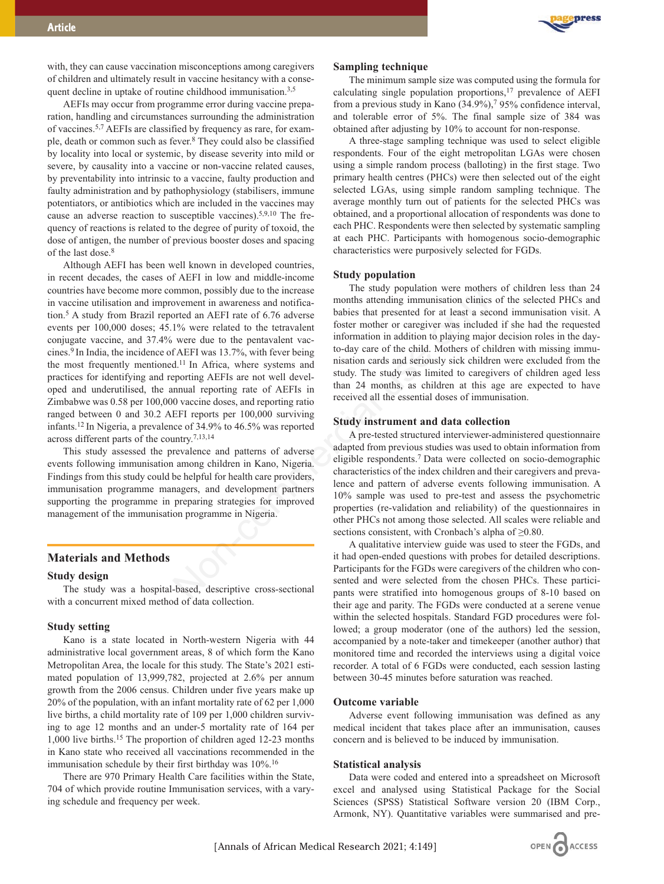press

with, they can cause vaccination misconceptions among caregivers of children and ultimately result in vaccine hesitancy with a consequent decline in uptake of routine childhood immunisation.<sup>3,5</sup>

AEFIs may occur from programme error during vaccine preparation, handling and circumstances surrounding the administration of vaccines.5,7 AEFIs are classified by frequency as rare, for example, death or common such as fever.8 They could also be classified by locality into local or systemic, by disease severity into mild or severe, by causality into a vaccine or non-vaccine related causes, by preventability into intrinsic to a vaccine, faulty production and faulty administration and by pathophysiology (stabilisers, immune potentiators, or antibiotics which are included in the vaccines may cause an adverse reaction to susceptible vaccines).5,9,10 The frequency of reactions is related to the degree of purity of toxoid, the dose of antigen, the number of previous booster doses and spacing of the last dose.8

Although AEFI has been well known in developed countries, in recent decades, the cases of AEFI in low and middle-income countries have become more common, possibly due to the increase in vaccine utilisation and improvement in awareness and notification.5 A study from Brazil reported an AEFI rate of 6.76 adverse events per 100,000 doses; 45.1% were related to the tetravalent conjugate vaccine, and 37.4% were due to the pentavalent vaccines.9 In India, the incidence of AEFI was 13.7%, with fever being the most frequently mentioned.<sup>11</sup> In Africa, where systems and practices for identifying and reporting AEFIs are not well developed and underutilised, the annual reporting rate of AEFIs in Zimbabwe was 0.58 per 100,000 vaccine doses, and reporting ratio ranged between 0 and 30.2 AEFI reports per 100,000 surviving infants.12 In Nigeria, a prevalence of 34.9% to 46.5% was reported across different parts of the country.7,13,14 mmon, possibly due to the increase<br>
nonths attending immunisation clinics<br>
ovenent in avareness and notifica-<br>
1% were related to the tetravalent<br>
1% were clated to the tetravalent<br>
nonths attending immunisation clinics<br>

This study assessed the prevalence and patterns of adverse events following immunisation among children in Kano, Nigeria. Findings from this study could be helpful for health care providers, immunisation programme managers, and development partners supporting the programme in preparing strategies for improved management of the immunisation programme in Nigeria.

# **Materials and Methods**

#### **Study design**

The study was a hospital-based, descriptive cross-sectional with a concurrent mixed method of data collection.

## **Study setting**

Kano is a state located in North-western Nigeria with 44 administrative local government areas, 8 of which form the Kano Metropolitan Area, the locale for this study. The State's 2021 estimated population of 13,999,782, projected at 2.6% per annum growth from the 2006 census. Children under five years make up 20% of the population, with an infant mortality rate of 62 per 1,000 live births, a child mortality rate of 109 per 1,000 children surviving to age 12 months and an under-5 mortality rate of 164 per 1,000 live births.15 The proportion of children aged 12-23 months in Kano state who received all vaccinations recommended in the immunisation schedule by their first birthday was 10%.<sup>16</sup>

There are 970 Primary Health Care facilities within the State, 704 of which provide routine Immunisation services, with a varying schedule and frequency per week.

## **Sampling technique**

The minimum sample size was computed using the formula for calculating single population proportions,17 prevalence of AEFI from a previous study in Kano (34.9%),7 95% confidence interval, and tolerable error of 5%. The final sample size of 384 was obtained after adjusting by 10% to account for non-response.

A three-stage sampling technique was used to select eligible respondents. Four of the eight metropolitan LGAs were chosen using a simple random process (balloting) in the first stage. Two primary health centres (PHCs) were then selected out of the eight selected LGAs, using simple random sampling technique. The average monthly turn out of patients for the selected PHCs was obtained, and a proportional allocation of respondents was done to each PHC. Respondents were then selected by systematic sampling at each PHC. Participants with homogenous socio-demographic characteristics were purposively selected for FGDs.

#### **Study population**

The study population were mothers of children less than 24 months attending immunisation clinics of the selected PHCs and babies that presented for at least a second immunisation visit. A foster mother or caregiver was included if she had the requested information in addition to playing major decision roles in the dayto-day care of the child. Mothers of children with missing immunisation cards and seriously sick children were excluded from the study. The study was limited to caregivers of children aged less than 24 months, as children at this age are expected to have received all the essential doses of immunisation.

#### **Study instrument and data collection**

A pre-tested structured interviewer-administered questionnaire adapted from previous studies was used to obtain information from eligible respondents.7 Data were collected on socio-demographic characteristics of the index children and their caregivers and prevalence and pattern of adverse events following immunisation. A 10% sample was used to pre-test and assess the psychometric properties (re-validation and reliability) of the questionnaires in other PHCs not among those selected. All scales were reliable and sections consistent, with Cronbach's alpha of ≥0.80.

A qualitative interview guide was used to steer the FGDs, and it had open-ended questions with probes for detailed descriptions. Participants for the FGDs were caregivers of the children who consented and were selected from the chosen PHCs. These participants were stratified into homogenous groups of 8-10 based on their age and parity. The FGDs were conducted at a serene venue within the selected hospitals. Standard FGD procedures were followed; a group moderator (one of the authors) led the session, accompanied by a note-taker and timekeeper (another author) that monitored time and recorded the interviews using a digital voice recorder. A total of 6 FGDs were conducted, each session lasting between 30-45 minutes before saturation was reached.

#### **Outcome variable**

Adverse event following immunisation was defined as any medical incident that takes place after an immunisation, causes concern and is believed to be induced by immunisation.

#### **Statistical analysis**

Data were coded and entered into a spreadsheet on Microsoft excel and analysed using Statistical Package for the Social Sciences (SPSS) Statistical Software version 20 (IBM Corp., Armonk, NY). Quantitative variables were summarised and pre-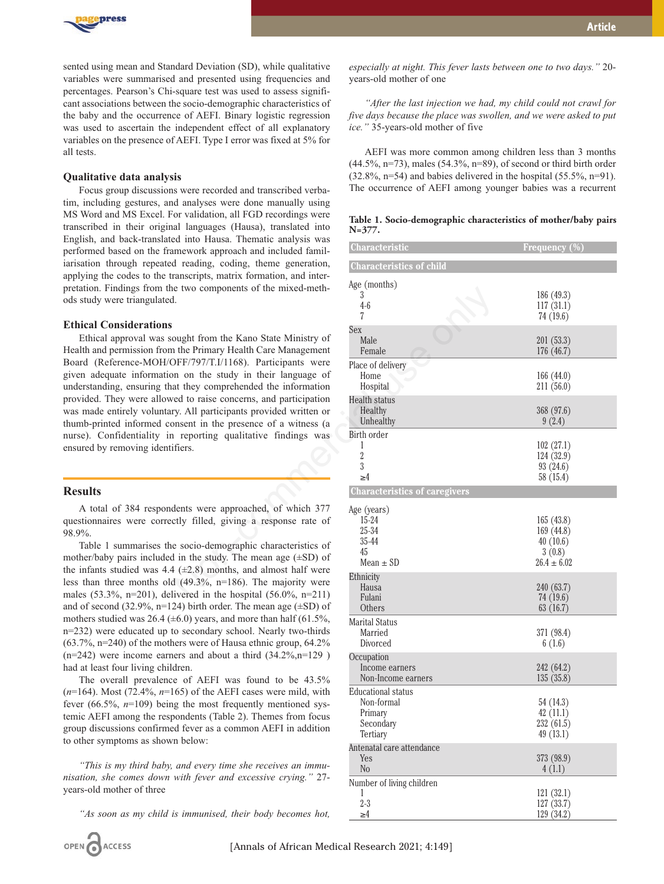

sented using mean and Standard Deviation (SD), while qualitative variables were summarised and presented using frequencies and percentages. Pearson's Chi-square test was used to assess significant associations between the socio-demographic characteristics of the baby and the occurrence of AEFI. Binary logistic regression was used to ascertain the independent effect of all explanatory variables on the presence of AEFI. Type I error was fixed at 5% for all tests.

## **Qualitative data analysis**

Focus group discussions were recorded and transcribed verbatim, including gestures, and analyses were done manually using MS Word and MS Excel. For validation, all FGD recordings were transcribed in their original languages (Hausa), translated into English, and back-translated into Hausa. Thematic analysis was performed based on the framework approach and included familiarisation through repeated reading, coding, theme generation, applying the codes to the transcripts, matrix formation, and interpretation. Findings from the two components of the mixed-methods study were triangulated.

# **Ethical Considerations**

Ethical approval was sought from the Kano State Ministry of Health and permission from the Primary Health Care Management Board (Reference-MOH/OFF/797/T.I/1168). Participants were given adequate information on the study in their language of understanding, ensuring that they comprehended the information provided. They were allowed to raise concerns, and participation was made entirely voluntary. All participants provided written or thumb-printed informed consent in the presence of a witness (a nurse). Confidentiality in reporting qualitative findings was ensured by removing identifiers.

## **Results**

A total of 384 respondents were approached, of which 377 questionnaires were correctly filled, giving a response rate of 98.9%.

Table 1 summarises the socio-demographic characteristics of mother/baby pairs included in the study. The mean age (±SD) of the infants studied was 4.4  $(\pm 2.8)$  months, and almost half were less than three months old (49.3%, n=186). The majority were males (53.3%, n=201), delivered in the hospital (56.0%, n=211) and of second (32.9%, n=124) birth order. The mean age  $(\pm SD)$  of mothers studied was 26.4 ( $\pm$ 6.0) years, and more than half (61.5%, n=232) were educated up to secondary school. Nearly two-thirds (63.7%, n=240) of the mothers were of Hausa ethnic group, 64.2%  $(n=242)$  were income earners and about a third  $(34.2\%, n=129)$ had at least four living children.

The overall prevalence of AEFI was found to be 43.5%  $(n=164)$ . Most (72.4%,  $n=165$ ) of the AEFI cases were mild, with fever (66.5%, *n*=109) being the most frequently mentioned systemic AEFI among the respondents (Table 2). Themes from focus group discussions confirmed fever as a common AEFI in addition to other symptoms as shown below:

*"This is my third baby, and every time she receives an immunisation, she comes down with fever and excessive crying."* 27 years-old mother of three

*"As soon as my child is immunised, their body becomes hot,*

*especially at night. This fever lasts between one to two days."* 20 years-old mother of one

*"After the last injection we had, my child could not crawl for five days because the place was swollen, and we were asked to put ice."* 35-years-old mother of five

AEFI was more common among children less than 3 months  $(44.5\%, n=73)$ , males  $(54.3\%, n=89)$ , of second or third birth order  $(32.8\%, n=54)$  and babies delivered in the hospital  $(55.5\%, n=91)$ . The occurrence of AEFI among younger babies was a recurrent

**Table 1. Socio-demographic characteristics of mother/baby pairs N=377.**

| $\alpha$ med Themon. Thematic and foll was<br>imework approach and included famil-      | Characteristic                                  | <b>Frequency</b> (%)    |
|-----------------------------------------------------------------------------------------|-------------------------------------------------|-------------------------|
| d reading, coding, theme generation,                                                    | <b>Characteristics of child</b>                 |                         |
| ranscripts, matrix formation, and inter-<br>e two components of the mixed-meth-         | Age (months)                                    |                         |
| l.                                                                                      | 3<br>$4-6$                                      | 186 (49.3)<br>117(31.1) |
|                                                                                         | 7                                               | 74 (19.6)               |
| ought from the Kano State Ministry of                                                   | Sex                                             |                         |
| n the Primary Health Care Management                                                    | Male<br>Female                                  | 201(53.3)<br>176(46.7)  |
| DFF/797/T.I/1168). Participants were                                                    | Place of delivery                               |                         |
| n on the study in their language of                                                     | Home                                            | 166(44.0)               |
| at they comprehended the information                                                    | Hospital                                        | 211 (56.0)              |
| ed to raise concerns, and participation<br>ry. All participants provided written or     | Health status<br>Healthy                        | 368 (97.6)              |
| onsent in the presence of a witness (a                                                  | Unhealthy                                       | 9(2.4)                  |
| reporting qualitative findings was                                                      | Birth order                                     |                         |
| ifiers.                                                                                 | 1<br>$\boldsymbol{2}$                           | 102(27.1)<br>124(32.9)  |
|                                                                                         | $\boldsymbol{3}$                                | 93 (24.6)               |
|                                                                                         | $\geq 4$                                        | 58 (15.4)               |
|                                                                                         | <b>Characteristics of caregivers</b>            |                         |
| dents were approached, of which 377                                                     | Age (years)                                     |                         |
| ctly filled, giving a response rate of                                                  | $15 - 24$<br>25-34                              | 165(43.8)<br>169 (44.8) |
|                                                                                         | 35-44                                           | 40(10.6)                |
| e socio-demographic characteristics of<br>I in the study. The mean age $(\pm SD)$ of    | 45                                              | 3(0.8)                  |
| $\downarrow$ ( $\pm$ 2.8) months, and almost half were                                  | $Mean \pm SD$                                   | $26.4 \pm 6.02$         |
| $1(49.3\%, n=186)$ . The majority were                                                  | Ethnicity<br>Hausa                              | 240 (63.7)              |
| ivered in the hospital $(56.0\%, n=211)$                                                | Fulani                                          | 74 (19.6)               |
| 24) birth order. The mean age $(\pm SD)$ of                                             | Others                                          | 63(16.7)                |
| $\pm 6.0$ ) years, and more than half (61.5%,<br>to secondary school. Nearly two-thirds | <b>Marital Status</b><br>Married                | 371 (98.4)              |
| ners were of Hausa ethnic group, 64.2%                                                  | Divorced                                        | 6(1.6)                  |
| ers and about a third $(34.2\%, n=129)$                                                 | Occupation                                      |                         |
| dren.                                                                                   | Income earners                                  | 242 (64.2)              |
| e of AEFI was found to be 43.5%<br>(65) of the AEFI cases were mild, with               | Non-Income earners<br><b>Educational status</b> | 135(35.8)               |
| ig the most frequently mentioned sys-                                                   | Non-formal                                      | 54 (14.3)               |
| pondents (Table 2). Themes from focus                                                   | Primary                                         | 42(11.1)                |
| ed fever as a common AEFI in addition                                                   | Secondary<br>Tertiary                           | 232 (61.5)<br>49(13.1)  |
| n below:                                                                                | Antenatal care attendance                       |                         |
| and every time she receives an immu-                                                    | Yes                                             | 373 (98.9)              |
| with fever and excessive crying." 27-                                                   | N <sub>o</sub>                                  | 4(1.1)                  |
|                                                                                         | Number of living children<br>L                  | 121(32.1)               |
|                                                                                         | $2 - 3$                                         | 127(33.7)               |
| is immunised, their body becomes hot,                                                   | $\geq 4$                                        | 129(34.2)               |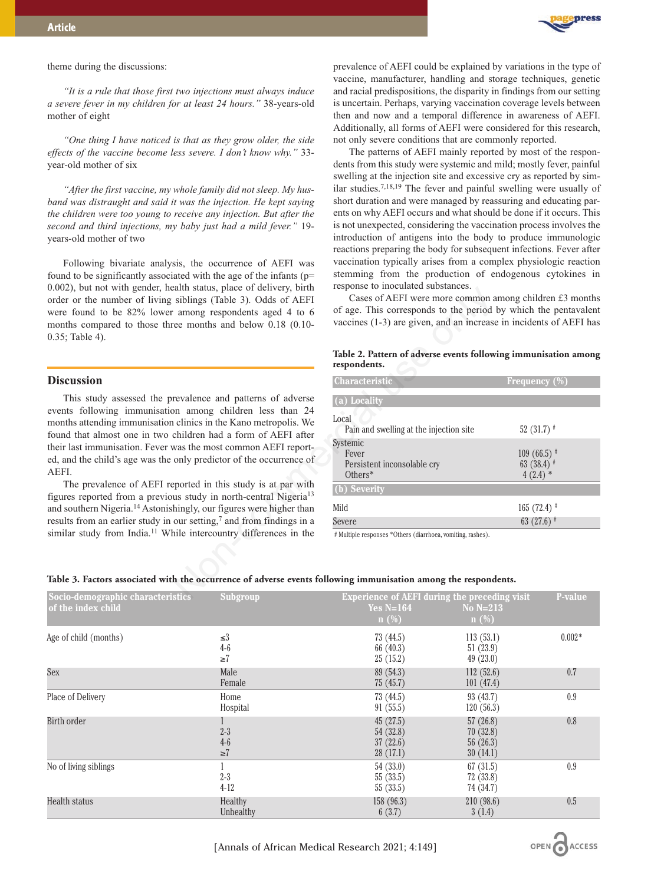

#### theme during the discussions:

*"It is a rule that those first two injections must always induce a severe fever in my children for at least 24 hours."* 38-years-old mother of eight

*"One thing I have noticed is that as they grow older, the side effects of the vaccine become less severe. I don't know why."* 33 year-old mother of six

*"After the first vaccine, my whole family did not sleep. My husband was distraught and said it was the injection. He kept saying the children were too young to receive any injection. But after the second and third injections, my baby just had a mild fever."* 19 years-old mother of two

Following bivariate analysis, the occurrence of AEFI was found to be significantly associated with the age of the infants (p= 0.002), but not with gender, health status, place of delivery, birth order or the number of living siblings (Table 3). Odds of AEFI were found to be 82% lower among respondents aged 4 to 6 months compared to those three months and below 0.18 (0.10- 0.35; Table 4).

# **Discussion**

This study assessed the prevalence and patterns of adverse events following immunisation among children less than 24 months attending immunisation clinics in the Kano metropolis. We found that almost one in two children had a form of AEFI after their last immunisation. Fever was the most common AEFI reported, and the child's age was the only predictor of the occurrence of AEFI.

The prevalence of AEFI reported in this study is at par with figures reported from a previous study in north-central Nigeria13 and southern Nigeria.14 Astonishingly, our figures were higher than results from an earlier study in our setting, $\frac{7}{7}$  and from findings in a similar study from India.<sup>11</sup> While intercountry differences in the prevalence of AEFI could be explained by variations in the type of vaccine, manufacturer, handling and storage techniques, genetic and racial predispositions, the disparity in findings from our setting is uncertain. Perhaps, varying vaccination coverage levels between then and now and a temporal difference in awareness of AEFI. Additionally, all forms of AEFI were considered for this research, not only severe conditions that are commonly reported.

The patterns of AEFI mainly reported by most of the respondents from this study were systemic and mild; mostly fever, painful swelling at the injection site and excessive cry as reported by similar studies.7,18,19 The fever and painful swelling were usually of short duration and were managed by reassuring and educating parents on why AEFI occurs and what should be done if it occurs. This is not unexpected, considering the vaccination process involves the introduction of antigens into the body to produce immunologic reactions preparing the body for subsequent infections. Fever after vaccination typically arises from a complex physiologic reaction stemming from the production of endogenous cytokines in response to inoculated substances.

**Table 2. Pattern of adverse events following immunisation among respondents.** 

| eaith status, place of delivery, birth<br>siblings (Table 3). Odds of AEFI<br>among respondents aged 4 to 6<br>ree months and below 0.18 (0.10-                                    | response to moculated substances.<br>Cases of AEFI were more common among children £3 months<br>of age. This corresponds to the period by which the pentavalent<br>vaccines (1-3) are given, and an increase in incidents of AEFI has |                                              |  |
|------------------------------------------------------------------------------------------------------------------------------------------------------------------------------------|---------------------------------------------------------------------------------------------------------------------------------------------------------------------------------------------------------------------------------------|----------------------------------------------|--|
|                                                                                                                                                                                    | Table 2. Pattern of adverse events following immunisation among<br>respondents.                                                                                                                                                       |                                              |  |
|                                                                                                                                                                                    | Characteristic                                                                                                                                                                                                                        | Frequency (%)                                |  |
| revalence and patterns of adverse<br>on among children less than 24<br>clinics in the Kano metropolis. We<br>children had a form of AEFI after<br>was the most common AEFI report- | (a) Locality                                                                                                                                                                                                                          |                                              |  |
|                                                                                                                                                                                    | Local<br>Pain and swelling at the injection site<br>Systemic                                                                                                                                                                          | 52 (31.7) $*$                                |  |
| only predictor of the occurrence of                                                                                                                                                | Fever<br>Persistent inconsolable cry<br>$Others*$                                                                                                                                                                                     | $109(66.5)$ #<br>63 $(38.4)$ #<br>$4(2.4)$ * |  |
| eported in this study is at par with<br>us study in north-central Nigeria <sup>13</sup><br>hingly, our figures were higher than                                                    | (b) Severity                                                                                                                                                                                                                          |                                              |  |
|                                                                                                                                                                                    | Mild                                                                                                                                                                                                                                  | $165 (72.4)$ #                               |  |
| our setting, $\frac{7}{1}$ and from findings in a                                                                                                                                  | Severe                                                                                                                                                                                                                                | 63 $(27.6)$ #                                |  |
| nile intercountry differences in the                                                                                                                                               | # Multiple responses *Others (diarrhoea, vomiting, rashes).<br>h the occurrence of adverse events following immunisation among the respondents.                                                                                       |                                              |  |
| stics<br>Subgroup                                                                                                                                                                  | Experience of AEFI during the preceding visit                                                                                                                                                                                         | P-value                                      |  |

#### **Table 3. Factors associated with the occurrence of adverse events following immunisation among the respondents.**

| Socio-demographic characteristics | <b>Subgroup</b>                         | <b>Experience of AEFI during the preceding visit</b> |                                                 | P-value  |
|-----------------------------------|-----------------------------------------|------------------------------------------------------|-------------------------------------------------|----------|
| of the index child                |                                         | Yes $N=164$                                          | No $N=213$                                      |          |
|                                   |                                         | $n$ (%)                                              | $n$ (%)                                         |          |
| Age of child (months)             | $\leq$<br>$4-6$                         | 73(44.5)<br>66 $(40.3)$                              | 113(53.1)<br>51(23.9)                           | $0.002*$ |
|                                   | $\geq 7$                                | 25(15.2)                                             | 49(23.0)                                        |          |
| Sex                               | Male<br>Female                          | 89(54.3)<br>75(45.7)                                 | 112(52.6)<br>101(47.4)                          | 0.7      |
| Place of Delivery                 | Home<br>Hospital                        | 73(44.5)<br>91(55.5)                                 | 93(43.7)<br>120(56.3)                           | 0.9      |
| Birth order                       | $2 - 3$<br>$4-6$<br>$\geq$ <sup>7</sup> | 45(27.5)<br>54 (32.8)<br>37(22.6)<br>28(17.1)        | 57(26.8)<br>70(32.8)<br>56 $(26.3)$<br>30(14.1) | 0.8      |
| No of living siblings             | $2 - 3$<br>$4-12$                       | 54(33.0)<br>55(33.5)<br>55(33.5)                     | 67(31.5)<br>72(33.8)<br>74 (34.7)               | 0.9      |
| Health status                     | Healthy<br>Unhealthy                    | 158 (96.3)<br>6(3.7)                                 | 210(98.6)<br>3(1.4)                             | 0.5      |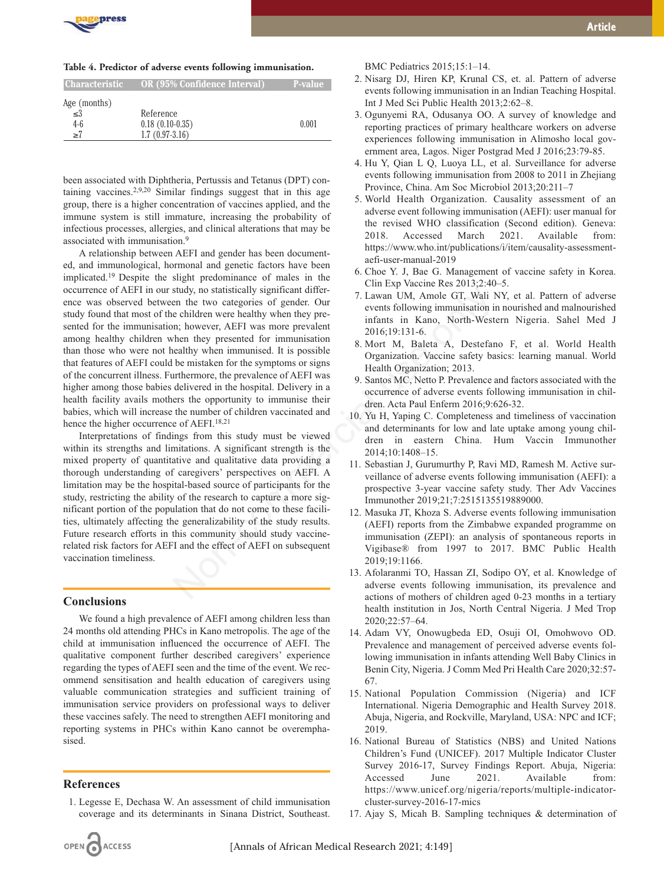

#### **Table 4. Predictor of adverse events following immunisation.**

| <b>Characteristic</b> | OR (95% Confidence Interval) | P-value |
|-----------------------|------------------------------|---------|
| Age (months)          |                              |         |
| ≤3                    | Reference                    |         |
| $4-6$                 | $0.18(0.10-0.35)$            | 0.001   |
| $\geq 7$              | $1.7(0.97-3.16)$             |         |

been associated with Diphtheria, Pertussis and Tetanus (DPT) containing vaccines.2,9,20 Similar findings suggest that in this age group, there is a higher concentration of vaccines applied, and the immune system is still immature, increasing the probability of infectious processes, allergies, and clinical alterations that may be associated with immunisation.9

A relationship between AEFI and gender has been documented, and immunological, hormonal and genetic factors have been implicated.19 Despite the slight predominance of males in the occurrence of AEFI in our study, no statistically significant difference was observed between the two categories of gender. Our study found that most of the children were healthy when they presented for the immunisation; however, AEFI was more prevalent among healthy children when they presented for immunisation than those who were not healthy when immunised. It is possible that features of AEFI could be mistaken for the symptoms or signs of the concurrent illness. Furthermore, the prevalence of AEFI was higher among those babies delivered in the hospital. Delivery in a health facility avails mothers the opportunity to immunise their babies, which will increase the number of children vaccinated and hence the higher occurrence of AEFI.<sup>18,21</sup> Study, bo statistically significant differ-<br>
en the wordstegoins of gender. Our<br>
en the wordstegoins of gender. Our<br>
en the wordstegoins of gender. Our<br>
nn; however, AEFI was more prevalent<br>
then they presented for inmunis

Interpretations of findings from this study must be viewed within its strengths and limitations. A significant strength is the mixed property of quantitative and qualitative data providing a thorough understanding of caregivers' perspectives on AEFI. A limitation may be the hospital-based source of participants for the study, restricting the ability of the research to capture a more significant portion of the population that do not come to these facilities, ultimately affecting the generalizability of the study results. Future research efforts in this community should study vaccinerelated risk factors for AEFI and the effect of AEFI on subsequent vaccination timeliness.

# **Conclusions**

We found a high prevalence of AEFI among children less than 24 months old attending PHCs in Kano metropolis. The age of the child at immunisation influenced the occurrence of AEFI. The qualitative component further described caregivers' experience regarding the types of AEFI seen and the time of the event. We recommend sensitisation and health education of caregivers using valuable communication strategies and sufficient training of immunisation service providers on professional ways to deliver these vaccines safely. The need to strengthen AEFI monitoring and reporting systems in PHCs within Kano cannot be overemphasised.

# **References**

1. Legesse E, Dechasa W. An assessment of child immunisation coverage and its determinants in Sinana District, Southeast.

BMC Pediatrics 2015;15:1–14.

- 2. Nisarg DJ, Hiren KP, Krunal CS, et. al. Pattern of adverse events following immunisation in an Indian Teaching Hospital. Int J Med Sci Public Health 2013;2:62–8.
- 3. Ogunyemi RA, Odusanya OO. A survey of knowledge and reporting practices of primary healthcare workers on adverse experiences following immunisation in Alimosho local government area, Lagos. Niger Postgrad Med J 2016;23:79-85.
- 4. Hu Y, Qian L Q, Luoya LL, et al. Surveillance for adverse events following immunisation from 2008 to 2011 in Zhejiang Province, China. Am Soc Microbiol 2013;20:211–7
- 5. World Health Organization. Causality assessment of an adverse event following immunisation (AEFI): user manual for the revised WHO classification (Second edition). Geneva: 2018. Accessed March 2021. Available from: https://www.who.int/publications/i/item/causality-assessmentaefi-user-manual-2019
- 6. Choe Y. J, Bae G. Management of vaccine safety in Korea. Clin Exp Vaccine Res 2013;2:40–5.
- 7. Lawan UM, Amole GT, Wali NY, et al. Pattern of adverse events following immunisation in nourished and malnourished infants in Kano, North-Western Nigeria. Sahel Med J 2016;19:131-6.
- 8. Mort M, Baleta A, Destefano F, et al. World Health Organization. Vaccine safety basics: learning manual. World Health Organization; 2013.
- 9. Santos MC, Netto P. Prevalence and factors associated with the occurrence of adverse events following immunisation in children. Acta Paul Enferm 2016;9:626-32.
- 10. Yu H, Yaping C. Completeness and timeliness of vaccination and determinants for low and late uptake among young children in eastern China. Hum Vaccin Immunother 2014;10:1408–15.
- 11. Sebastian J, Gurumurthy P, Ravi MD, Ramesh M. Active surveillance of adverse events following immunisation (AEFI): a prospective 3-year vaccine safety study. Ther Adv Vaccines Immunother 2019;21;7:2515135519889000.
- 12. Masuka JT, Khoza S. Adverse events following immunisation (AEFI) reports from the Zimbabwe expanded programme on immunisation (ZEPI): an analysis of spontaneous reports in Vigibase® from 1997 to 2017. BMC Public Health 2019;19:1166.
- 13. Afolaranmi TO, Hassan ZI, Sodipo OY, et al. Knowledge of adverse events following immunisation, its prevalence and actions of mothers of children aged 0-23 months in a tertiary health institution in Jos, North Central Nigeria. J Med Trop 2020;22:57–64.
- 14. Adam VY, Onowugbeda ED, Osuji OI, Omohwovo OD. Prevalence and management of perceived adverse events following immunisation in infants attending Well Baby Clinics in Benin City, Nigeria. J Comm Med Pri Health Care 2020;32:57- 67.
- 15. National Population Commission (Nigeria) and ICF International. Nigeria Demographic and Health Survey 2018. Abuja, Nigeria, and Rockville, Maryland, USA: NPC and ICF; 2019.
- 16. National Bureau of Statistics (NBS) and United Nations Children's Fund (UNICEF). 2017 Multiple Indicator Cluster Survey 2016-17, Survey Findings Report. Abuja, Nigeria: Accessed June 2021. Available from: https://www.unicef.org/nigeria/reports/multiple-indicatorcluster-survey-2016-17-mics
- 17. Ajay S, Micah B. Sampling techniques & determination of